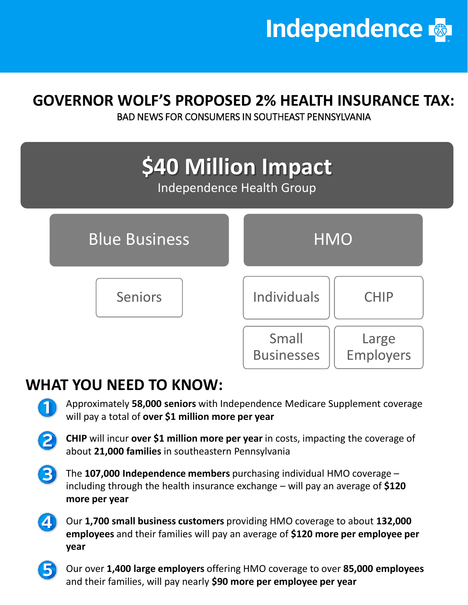

### **GOVERNOR WOLF'S PROPOSED 2% HEALTH INSURANCE TAX:**

BAD NEWS FOR CONSUMERS IN SOUTHEAST PENNSYLVANIA



## **WHAT YOU NEED TO KNOW:**

- Approximately **58,000 seniors** with Independence Medicare Supplement coverage will pay a total of **over \$1 million more per year**
- **CHIP** will incur **over \$1 million more per year** in costs, impacting the coverage of about **21,000 families** in southeastern Pennsylvania
- The **107,000 Independence members** purchasing individual HMO coverage including through the health insurance exchange – will pay an average of **\$120 more per year**
	- Our **1,700 small business customers** providing HMO coverage to about **132,000 employees** and their families will pay an average of **\$120 more per employee per year**

• Our over **1,400 large employers** offering HMO coverage to over **85,000 employees**  and their families, will pay nearly **\$90 more per employee per year**